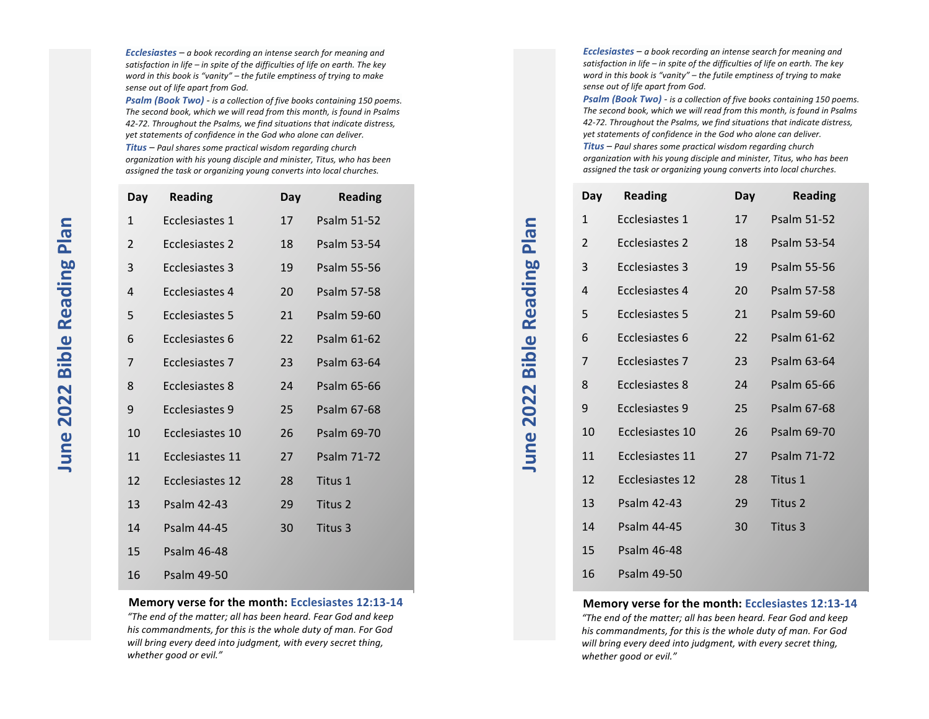*Ecclesiastes* – a book recording an intense search for meaning and satisfaction in life – in spite of the difficulties of life on earth. The key *word in this book is "vanity"* – *the futile emptiness of trying to make* sense out of life apart from God.

**Psalm (Book Two)** - is a collection of five books containing 150 poems. The second book, which we will read from this month, is found in Psalms 42-72. Throughout the Psalms, we find situations that indicate distress, yet statements of confidence in the God who alone can deliver. *Titus* – Paul shares some practical wisdom regarding church organization with his young disciple and minister, Titus, who has been assigned the task or organizing young converts into local churches.

| Day | <b>Reading</b>         | Day | <b>Reading</b>     |
|-----|------------------------|-----|--------------------|
| 1   | Ecclesiastes 1         | 17  | Psalm 51-52        |
| 2   | Ecclesiastes 2         | 18  | Psalm 53-54        |
| 3   | <b>Ecclesiastes 3</b>  | 19  | <b>Psalm 55-56</b> |
| 4   | Ecclesiastes 4         | 20  | <b>Psalm 57-58</b> |
| 5   | Ecclesiastes 5         | 21  | Psalm 59-60        |
| 6   | Ecclesiastes 6         | 22  | Psalm 61-62        |
| 7   | Ecclesiastes 7         | 23  | Psalm 63-64        |
| 8   | Ecclesiastes 8         | 24  | Psalm 65-66        |
| 9   | Ecclesiastes 9         | 25  | Psalm 67-68        |
| 10  | Ecclesiastes 10        | 26  | Psalm 69-70        |
| 11  | Ecclesiastes 11        | 27  | <b>Psalm 71-72</b> |
| 12  | <b>Ecclesiastes 12</b> | 28  | Titus 1            |
| 13  | <b>Psalm 42-43</b>     | 29  | Titus 2            |
| 14  | Psalm 44-45            | 30  | Titus 3            |
| 15  | Psalm 46-48            |     |                    |
| 16  | <b>Psalm 49-50</b>     |     |                    |

#### **Memory verse for the month: Ecclesiastes 12:13-14**

"The end of the matter; all has been heard. Fear God and keep his commandments, for this is the whole duty of man. For God will bring every deed into judgment, with every secret thing, *whether good or evil."*